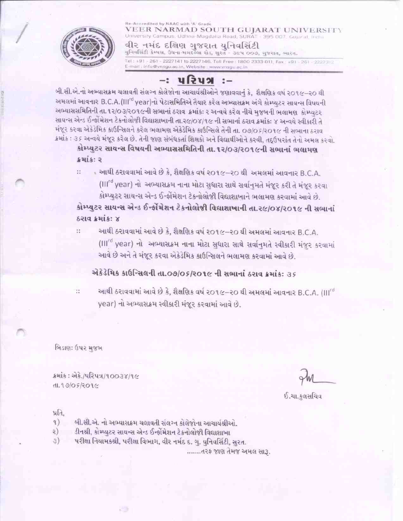#### Re-Accredited by NAAC with 'A' Grade VEER NARMAD SOUTH GUJARAT UNIVERSITY University Campus, Udhna-Magdalla Road, SURAT - 395 007. Gu વીર નમંદ દક્ષિણ ગુજરાત યુનિવસિંટી



યુનિવર્સિટી કેમ્પસ, ઉધના મગદલ્લા રોડ, સુરત - ૩૯૫ ૦૦૭, ગુજરાત, ભારત. Tel: +91 - 261 - 2227141 to 2227146, Toll Free: 1800 2333 011, Fax: +91 - 261 - 2227312 E-mail: info@vnsgu.ac.in, Website: www.vnsgu.ac.in

#### $-$ : પરિપત્ર :–

બી.સી.એ.નો અભ્યાસક્રમ ચલાવતી સંલગ્ન કોલેજોના આચાર્યશ્રીઓને જણાવવાનું કે, શૈક્ષણિક વર્ષ ૨૦૧૯–૨૦ થી અમલમાં આવનાર B.C.A.(III<sup>rd</sup> year)નો પેટાસમિતિએ તૈયાર કરેલ અભ્યાસક્રમ અંગે કોમ્પ્યુટર સાયન્સ વિષયની અભ્યાસસમિતિની તા. ૧૨/૦૩/૨૦૧૯ની સભાનાં ઠરાવ ક્રમાંક: ૨ અન્વયે કરેલ નીચે મુજબની ભલામણ કોમ્પ્યુટર સાયન્સ એન્ડ ઈન્ફોંમેશન ટેકનોલોજી વિદ્યાશાખાની તા.૨૯/૦૪/૧૯ ની સભાનાં ઠરાવ ક્રમાંકઃ ૪ અન્વયે સ્વીકારી તે મંજૂર કરવા એકેડેમિક કાઉન્સિલને કરેલ ભલામણ એકેડેમિક કાઉન્સિલે તેની તા. ૦૭/૦૬/૨૦૧૯ ની સભાના ઠરાવ ક્રમાંક : ૩૬ અન્વયે મંજૂર કરેલ છે. તેની જાણ સંબંધકર્તા શિક્ષકો અને વિદ્યાર્થીઓને કરવી, તદ્ઉપરાંત તેનો અમલ કરવો.

કોમ્પ્યુટર સાયન્સ વિષયની અભ્યાસસમિતિની તા. ૧૨/૦૩/૨૦૧૯ની સભાનાં ભલામણ ક્રમાંક: ૨

- આથી ઠરાવવામાં આવે છે કે, શૈક્ષણિક વર્ષ ૨૦૧૯–૨૦ થી અમલમાં આવનાર B.C.A. Ħ (Illrd year) નો અભ્યાસક્રમ નાના મોટા સુધારા સાથે સર્વાનુમતે મંજૂર કરી તે મંજૂર કરવા કોમ્પ્યુટર સાયન્સ એન્ડ ઈન્ફોંમેશન ટેકનોલોજી વિદ્યાશાખાને ભલામણ કરવામાં આવે છે.

કોમ્પ્યુટર સાયન્સ એન્ડ ઈન્ફોંમેશન ટેકનોલોજી વિદ્યાશાખાની તા.૨૯/૦૪/૨૦૧૯ ની સભાનાં ઠરાવ ક્રમાંક: ૪

 $\ddot{\phantom{a}}$ 

આથી ઠરાવવામાં આવે છે કે, શૈક્ષણિક વર્ષ ૨૦૧૯–૨૦ થી અમલમાં આવનાર B.C.A. (Ill<sup>rd</sup> year) નો અભ્યાસક્રમ નાના મોટા સુધારા સાથે સર્વાનુમતે સ્વીકારી મંજુર કરવામાં આવે છે અને તે મંજૂર કરવા એકેડેમિક કાઉન્સિલને ભલામણ કરવામાં આવે છે.

#### એકેડેમિક કાઉન્સિલની તા.09/05/201૯ ની સભાનાં ઠરાવ ક્રમાંકઃ ૩૬

આથી ઠરાવવામાં આવે છે કે, શૈક્ષણિક વર્ષ ૨૦૧૯–૨૦ થી અમલમાં આવનાર B.C.A. (Ill<sup>rd</sup> year) નો અભ્યાસક્રમ સ્વીકારી મંજૂર કરવામાં આવે છે.

બિડાણ: ઉપર મુજબ

ક્રમાંક: એકે./પરિપત્ર/૧૦૦૩૪/૧૯  $d1.9909209c$ 

ઈ.ચા.કલસચિવ

પ્રતિ.

- બી.સી.એ. નો અભ્યાસક્રમ ચલાવતી સંલગ્ન કોલેજોના આચાર્યશ્રીઓ.  $\left( \begin{array}{c} 1 \end{array} \right)$
- ડીનશ્રી, કોમ્પ્યુટર સાયન્સ એન્ડ ઈન્ફોમેશન ટેકનોલોજી વિદ્યાશાખા २)
- પરીક્ષા નિયામકશ્રી, પરીક્ષા વિભાગ, વીર નર્મદ દ. ગુ. યુનિવર્સિટી, સુરત.

.......તરફ જાણ તેમજ અમલ સારૂ.

 $\mathbb{R}^*$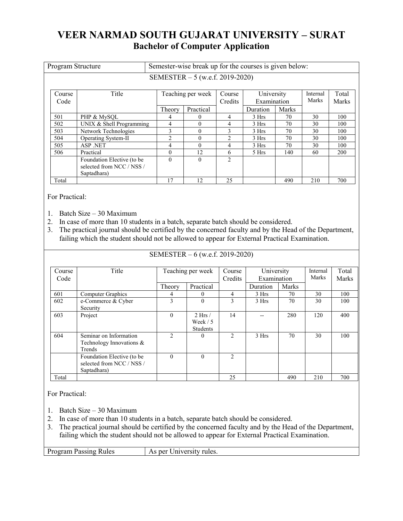# **VEER NARMAD SOUTH GUJARAT UNIVERSITY – SURAT Bachelor of Computer Application**

| Program Structure       |                                                                        | Semester-wise break up for the courses is given below: |                                  |                                                |          |       |                   |                |
|-------------------------|------------------------------------------------------------------------|--------------------------------------------------------|----------------------------------|------------------------------------------------|----------|-------|-------------------|----------------|
|                         |                                                                        |                                                        | SEMESTER $-5$ (w.e.f. 2019-2020) |                                                |          |       |                   |                |
| Title<br>Course<br>Code |                                                                        | Teaching per week                                      |                                  | University<br>Course<br>Credits<br>Examination |          |       | Internal<br>Marks | Total<br>Marks |
|                         |                                                                        | Theory                                                 | Practical                        |                                                | Duration | Marks |                   |                |
| 501                     | PHP & MySOL                                                            | 4                                                      | $\theta$                         | 4                                              | 3 Hrs    | 70    | 30                | 100            |
| 502                     | UNIX & Shell Programming                                               | 4                                                      | $\Omega$                         | 4                                              | 3 Hrs    | 70    | 30                | 100            |
| 503                     | Network Technologies                                                   | 3                                                      | $\theta$                         | 3                                              | 3 Hrs    | 70    | 30                | 100            |
| 504                     | Operating System-II                                                    | $\overline{c}$                                         | $\Omega$                         | $\mathcal{D}_{\mathcal{L}}$                    | 3 Hrs    | 70    | 30                | 100            |
| 505                     | ASP .NET                                                               | 4                                                      | $\Omega$                         | 4                                              | 3 Hrs    | 70    | 30                | 100            |
| 506                     | Practical                                                              | $\Omega$                                               | 12                               | 6                                              | 5 Hrs    | 140   | 60                | 200            |
|                         | Foundation Elective (to be<br>selected from NCC / NSS /<br>Saptadhara) | $\theta$                                               | $\theta$                         | $\mathfrak{D}$                                 |          |       |                   |                |
| Total                   |                                                                        | 17                                                     | 12                               | 25                                             |          | 490   | 210               | 700            |

For Practical:

- 1. Batch Size 30 Maximum
- 2. In case of more than 10 students in a batch, separate batch should be considered.
- 3. The practical journal should be certified by the concerned faculty and by the Head of the Department, failing which the student should not be allowed to appear for External Practical Examination.

| Course<br>Code | Title                                                                  | Teaching per week |                                             | Course<br>Credits | University<br>Examination |              | Internal<br>Marks | Total<br>Marks |
|----------------|------------------------------------------------------------------------|-------------------|---------------------------------------------|-------------------|---------------------------|--------------|-------------------|----------------|
|                |                                                                        | Theory            | Practical                                   |                   | Duration                  | <b>Marks</b> |                   |                |
| 601            | Computer Graphics                                                      | 4                 | 0                                           | 4                 | 3 Hrs                     | 70           | 30                | 100            |
| 602            | e-Commerce & Cyber<br>Security                                         | 3                 | $\theta$                                    | 3                 | 3 Hrs                     | 70           | 30                | 100            |
| 603            | Project                                                                | $\theta$          | $2$ Hrs $/$<br>Week $/5$<br><b>Students</b> | 14                |                           | 280          | 120               | 400            |
| 604            | Seminar on Information<br>Technology Innovations &<br>Trends           | $\mathfrak{D}$    | 0                                           | $\mathfrak{D}$    | 3 Hrs                     | 70           | 30                | 100            |
|                | Foundation Elective (to be<br>selected from NCC / NSS /<br>Saptadhara) | $\Omega$          | $\theta$                                    | $\overline{c}$    |                           |              |                   |                |
| Total          |                                                                        |                   |                                             | 25                |                           | 490          | 210               | 700            |

SEMESTER – 6 (w.e.f. 2019-2020)

For Practical:

- 1. Batch Size 30 Maximum
- 2. In case of more than 10 students in a batch, separate batch should be considered.
- 3. The practical journal should be certified by the concerned faculty and by the Head of the Department, failing which the student should not be allowed to appear for External Practical Examination.

Program Passing Rules | As per University rules.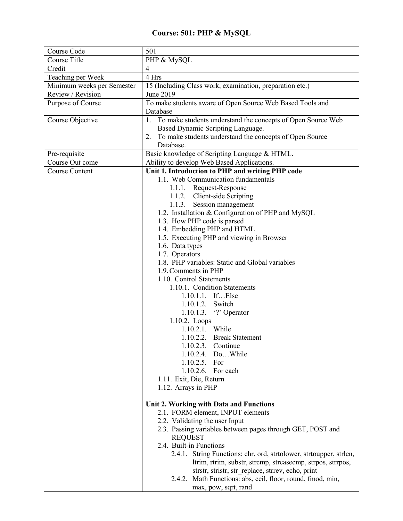## **Course: 501: PHP & MySQL**

| Course Code                | 501                                                                |
|----------------------------|--------------------------------------------------------------------|
| Course Title               | PHP & MySQL                                                        |
| Credit                     | $\overline{4}$                                                     |
| Teaching per Week          | 4 Hrs                                                              |
| Minimum weeks per Semester | 15 (Including Class work, examination, preparation etc.)           |
| Review / Revision          | June 2019                                                          |
| Purpose of Course          | To make students aware of Open Source Web Based Tools and          |
|                            | Database                                                           |
| Course Objective           | 1. To make students understand the concepts of Open Source Web     |
|                            | Based Dynamic Scripting Language.                                  |
|                            | 2. To make students understand the concepts of Open Source         |
|                            | Database.                                                          |
| Pre-requisite              | Basic knowledge of Scripting Language & HTML.                      |
| Course Out come            | Ability to develop Web Based Applications.                         |
| <b>Course Content</b>      | Unit 1. Introduction to PHP and writing PHP code                   |
|                            | 1.1. Web Communication fundamentals                                |
|                            | 1.1.1. Request-Response                                            |
|                            | 1.1.2. Client-side Scripting                                       |
|                            | 1.1.3. Session management                                          |
|                            | 1.2. Installation & Configuration of PHP and MySQL                 |
|                            | 1.3. How PHP code is parsed                                        |
|                            | 1.4. Embedding PHP and HTML                                        |
|                            | 1.5. Executing PHP and viewing in Browser                          |
|                            | 1.6. Data types                                                    |
|                            | 1.7. Operators                                                     |
|                            | 1.8. PHP variables: Static and Global variables                    |
|                            | 1.9. Comments in PHP                                               |
|                            | 1.10. Control Statements                                           |
|                            | 1.10.1. Condition Statements                                       |
|                            | 1.10.1.1. IfElse                                                   |
|                            | 1.10.1.2. Switch                                                   |
|                            | 1.10.1.3. $\lq$ ? Operator                                         |
|                            | 1.10.2. Loops                                                      |
|                            | 1.10.2.1. While                                                    |
|                            | 1.10.2.2. Break Statement                                          |
|                            | 1.10.2.3. Continue                                                 |
|                            | 1.10.2.4. Do While                                                 |
|                            | 1.10.2.5. For                                                      |
|                            | 1.10.2.6. For each                                                 |
|                            | 1.11. Exit, Die, Return                                            |
|                            | 1.12. Arrays in PHP                                                |
|                            |                                                                    |
|                            | Unit 2. Working with Data and Functions                            |
|                            | 2.1. FORM element, INPUT elements                                  |
|                            | 2.2. Validating the user Input                                     |
|                            | 2.3. Passing variables between pages through GET, POST and         |
|                            | <b>REQUEST</b>                                                     |
|                            | 2.4. Built-in Functions                                            |
|                            | 2.4.1. String Functions: chr, ord, strtolower, strtoupper, strlen, |
|                            | ltrim, rtrim, substr, strcmp, strcasecmp, strpos, strrpos,         |
|                            | strstr, stristr, str replace, strrev, echo, print                  |
|                            | 2.4.2. Math Functions: abs, ceil, floor, round, fmod, min,         |
|                            | max, pow, sqrt, rand                                               |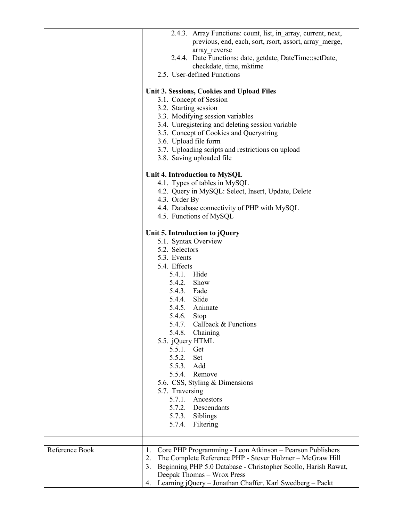|                | 2.4.3. Array Functions: count, list, in array, current, next,<br>previous, end, each, sort, rsort, assort, array merge,<br>array reverse<br>2.4.4. Date Functions: date, getdate, DateTime::setDate,<br>checkdate, time, mktime<br>2.5. User-defined Functions<br>Unit 3. Sessions, Cookies and Upload Files<br>3.1. Concept of Session<br>3.2. Starting session<br>3.3. Modifying session variables<br>3.4. Unregistering and deleting session variable |
|----------------|----------------------------------------------------------------------------------------------------------------------------------------------------------------------------------------------------------------------------------------------------------------------------------------------------------------------------------------------------------------------------------------------------------------------------------------------------------|
|                | 3.5. Concept of Cookies and Querystring<br>3.6. Upload file form<br>3.7. Uploading scripts and restrictions on upload<br>3.8. Saving uploaded file                                                                                                                                                                                                                                                                                                       |
|                | Unit 4. Introduction to MySQL<br>4.1. Types of tables in MySQL<br>4.2. Query in MySQL: Select, Insert, Update, Delete<br>4.3. Order By<br>4.4. Database connectivity of PHP with MySQL<br>4.5. Functions of MySQL                                                                                                                                                                                                                                        |
|                | Unit 5. Introduction to jQuery<br>5.1. Syntax Overview<br>5.2. Selectors<br>5.3. Events<br>5.4. Effects<br>5.4.1. Hide<br>5.4.2. Show<br>5.4.3. Fade                                                                                                                                                                                                                                                                                                     |
|                | 5.4.4. Slide<br>5.4.5. Animate<br>5.4.6.<br>Stop<br>Callback & Functions<br>5.4.7.<br>5.4.8.<br>Chaining<br>5.5. jQuery HTML<br>5.5.1. Get<br>5.5.2.<br>Set<br>5.5.3.<br>Add                                                                                                                                                                                                                                                                             |
|                | 5.5.4. Remove<br>5.6. CSS, Styling & Dimensions<br>5.7. Traversing<br>5.7.1. Ancestors<br>5.7.2. Descendants<br>5.7.3. Siblings<br>5.7.4.<br>Filtering                                                                                                                                                                                                                                                                                                   |
| Reference Book | Core PHP Programming - Leon Atkinson - Pearson Publishers<br>1.<br>The Complete Reference PHP - Stever Holzner - McGraw Hill<br>2.<br>Beginning PHP 5.0 Database - Christopher Scollo, Harish Rawat,<br>3.<br>Deepak Thomas - Wrox Press<br>4. Learning jQuery - Jonathan Chaffer, Karl Swedberg - Packt                                                                                                                                                 |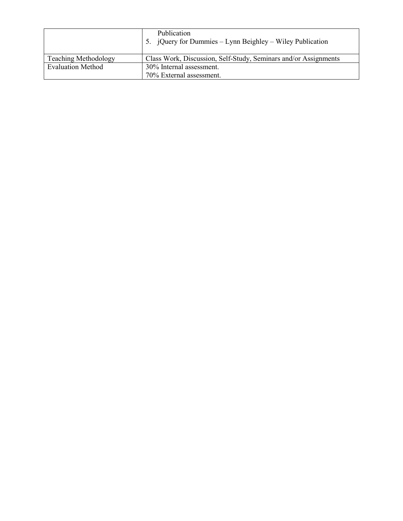|                             | Publication<br>5. jQuery for Dummies – Lynn Beighley – Wiley Publication |
|-----------------------------|--------------------------------------------------------------------------|
| <b>Teaching Methodology</b> | Class Work, Discussion, Self-Study, Seminars and/or Assignments          |
| <b>Evaluation Method</b>    | 30% Internal assessment.                                                 |
|                             | 70% External assessment.                                                 |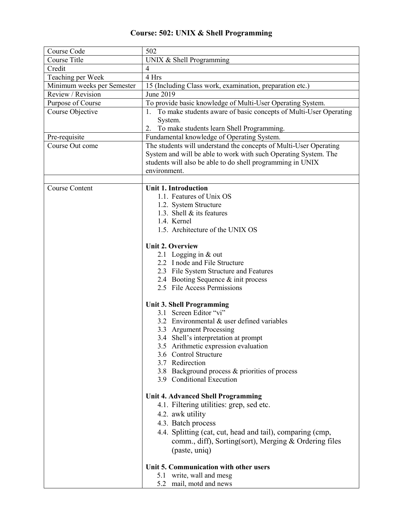## **Course: 502: UNIX & Shell Programming**

| Course Code                | 502                                                                 |
|----------------------------|---------------------------------------------------------------------|
| Course Title               | UNIX & Shell Programming                                            |
| Credit                     | $\overline{4}$                                                      |
| Teaching per Week          | 4 Hrs                                                               |
| Minimum weeks per Semester | 15 (Including Class work, examination, preparation etc.)            |
| Review / Revision          | June 2019                                                           |
| Purpose of Course          | To provide basic knowledge of Multi-User Operating System.          |
| Course Objective           | 1. To make students aware of basic concepts of Multi-User Operating |
|                            | System.                                                             |
|                            | To make students learn Shell Programming.<br>2.                     |
| Pre-requisite              | Fundamental knowledge of Operating System.                          |
| Course Out come            | The students will understand the concepts of Multi-User Operating   |
|                            | System and will be able to work with such Operating System. The     |
|                            | students will also be able to do shell programming in UNIX          |
|                            | environment.                                                        |
| <b>Course Content</b>      | <b>Unit 1. Introduction</b>                                         |
|                            | 1.1. Features of Unix OS                                            |
|                            | 1.2. System Structure                                               |
|                            | 1.3. Shell & its features                                           |
|                            | 1.4. Kernel                                                         |
|                            | 1.5. Architecture of the UNIX OS                                    |
|                            |                                                                     |
|                            | <b>Unit 2. Overview</b>                                             |
|                            | 2.1 Logging in & out                                                |
|                            | 2.2 I node and File Structure                                       |
|                            | 2.3 File System Structure and Features                              |
|                            | 2.4 Booting Sequence & init process                                 |
|                            | 2.5 File Access Permissions                                         |
|                            | <b>Unit 3. Shell Programming</b>                                    |
|                            | 3.1 Screen Editor "vi"                                              |
|                            | 3.2 Environmental & user defined variables                          |
|                            | 3.3 Argument Processing                                             |
|                            | 3.4 Shell's interpretation at prompt                                |
|                            | 3.5 Arithmetic expression evaluation                                |
|                            | 3.6 Control Structure                                               |
|                            | 3.7 Redirection                                                     |
|                            | 3.8 Background process & priorities of process                      |
|                            | 3.9 Conditional Execution                                           |
|                            |                                                                     |
|                            | <b>Unit 4. Advanced Shell Programming</b>                           |
|                            | 4.1. Filtering utilities: grep, sed etc.                            |
|                            | 4.2. awk utility                                                    |
|                            | 4.3. Batch process                                                  |
|                            | 4.4. Splitting (cat, cut, head and tail), comparing (cmp,           |
|                            | comm., diff), Sorting(sort), Merging & Ordering files               |
|                            | (paste, uniq)                                                       |
|                            |                                                                     |
|                            | Unit 5. Communication with other users                              |
|                            | 5.1 write, wall and mesg<br>5.2 mail, motd and news                 |
|                            |                                                                     |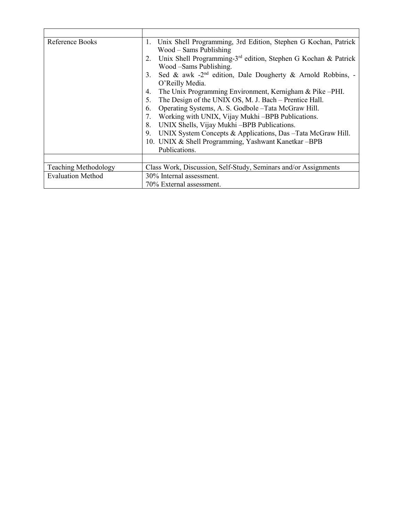| Reference Books             | Unix Shell Programming, 3rd Edition, Stephen G Kochan, Patrick<br>1.             |
|-----------------------------|----------------------------------------------------------------------------------|
|                             | $Wood - Sams Publishing$                                                         |
|                             | Unix Shell Programming-3 <sup>rd</sup> edition, Stephen G Kochan & Patrick<br>2. |
|                             | Wood -Sams Publishing.                                                           |
|                             | Sed & awk -2 <sup>nd</sup> edition, Dale Dougherty & Arnold Robbins, -<br>3.     |
|                             | O'Reilly Media.                                                                  |
|                             | The Unix Programming Environment, Kernigham & Pike -PHI.<br>4.                   |
|                             | The Design of the UNIX OS, M. J. Bach - Prentice Hall.<br>5.                     |
|                             | Operating Systems, A. S. Godbole - Tata McGraw Hill.<br>6.                       |
|                             | Working with UNIX, Vijay Mukhi-BPB Publications.                                 |
|                             | UNIX Shells, Vijay Mukhi -BPB Publications.                                      |
|                             | UNIX System Concepts & Applications, Das -Tata McGraw Hill.<br>9.                |
|                             | 10. UNIX & Shell Programming, Yashwant Kanetkar -BPB                             |
|                             | Publications.                                                                    |
|                             |                                                                                  |
| <b>Teaching Methodology</b> | Class Work, Discussion, Self-Study, Seminars and/or Assignments                  |
| <b>Evaluation Method</b>    | 30% Internal assessment.                                                         |
|                             | 70% External assessment.                                                         |

 $\overline{\phantom{0}}$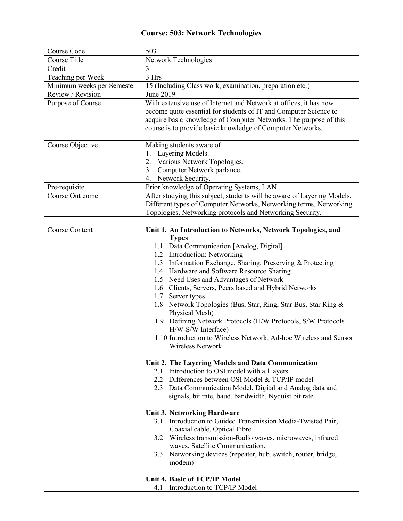#### **Course: 503: Network Technologies**

| Course Code                | 503                                                                                                                                                                                                                                                                                                                                                                                                                                                                                                                                                                                                                                                                |
|----------------------------|--------------------------------------------------------------------------------------------------------------------------------------------------------------------------------------------------------------------------------------------------------------------------------------------------------------------------------------------------------------------------------------------------------------------------------------------------------------------------------------------------------------------------------------------------------------------------------------------------------------------------------------------------------------------|
| Course Title               | Network Technologies                                                                                                                                                                                                                                                                                                                                                                                                                                                                                                                                                                                                                                               |
| Credit                     |                                                                                                                                                                                                                                                                                                                                                                                                                                                                                                                                                                                                                                                                    |
| Teaching per Week          | 3 Hrs                                                                                                                                                                                                                                                                                                                                                                                                                                                                                                                                                                                                                                                              |
| Minimum weeks per Semester | 15 (Including Class work, examination, preparation etc.)                                                                                                                                                                                                                                                                                                                                                                                                                                                                                                                                                                                                           |
| Review / Revision          | June 2019                                                                                                                                                                                                                                                                                                                                                                                                                                                                                                                                                                                                                                                          |
| Purpose of Course          | With extensive use of Internet and Network at offices, it has now<br>become quite essential for students of IT and Computer Science to<br>acquire basic knowledge of Computer Networks. The purpose of this<br>course is to provide basic knowledge of Computer Networks.                                                                                                                                                                                                                                                                                                                                                                                          |
| Course Objective           | Making students aware of<br>Layering Models.<br>Various Network Topologies.<br>2.<br>3. Computer Network parlance.<br>4. Network Security.                                                                                                                                                                                                                                                                                                                                                                                                                                                                                                                         |
| Pre-requisite              | Prior knowledge of Operating Systems, LAN                                                                                                                                                                                                                                                                                                                                                                                                                                                                                                                                                                                                                          |
| Course Out come            | After studying this subject, students will be aware of Layering Models,<br>Different types of Computer Networks, Networking terms, Networking<br>Topologies, Networking protocols and Networking Security.                                                                                                                                                                                                                                                                                                                                                                                                                                                         |
|                            |                                                                                                                                                                                                                                                                                                                                                                                                                                                                                                                                                                                                                                                                    |
| <b>Course Content</b>      | Unit 1. An Introduction to Networks, Network Topologies, and<br><b>Types</b><br>1.1 Data Communication [Analog, Digital]<br>1.2 Introduction: Networking<br>1.3 Information Exchange, Sharing, Preserving & Protecting<br>1.4 Hardware and Software Resource Sharing<br>1.5 Need Uses and Advantages of Network<br>1.6 Clients, Servers, Peers based and Hybrid Networks<br>1.7<br>Server types<br>1.8 Network Topologies (Bus, Star, Ring, Star Bus, Star Ring &<br>Physical Mesh)<br>1.9 Defining Network Protocols (H/W Protocols, S/W Protocols<br>H/W-S/W Interface)<br>1.10 Introduction to Wireless Network, Ad-hoc Wireless and Sensor<br>Wireless Network |
|                            | Unit 2. The Layering Models and Data Communication<br>2.1 Introduction to OSI model with all layers<br>2.2 Differences between OSI Model & TCP/IP model<br>2.3 Data Communication Model, Digital and Analog data and<br>signals, bit rate, baud, bandwidth, Nyquist bit rate<br><b>Unit 3. Networking Hardware</b><br>3.1 Introduction to Guided Transmission Media-Twisted Pair,<br>Coaxial cable, Optical Fibre<br>3.2 Wireless transmission-Radio waves, microwaves, infrared<br>waves, Satellite Communication.<br>Networking devices (repeater, hub, switch, router, bridge,<br>3.3<br>modem)<br>Unit 4. Basic of TCP/IP Model                                |
|                            | 4.1 Introduction to TCP/IP Model                                                                                                                                                                                                                                                                                                                                                                                                                                                                                                                                                                                                                                   |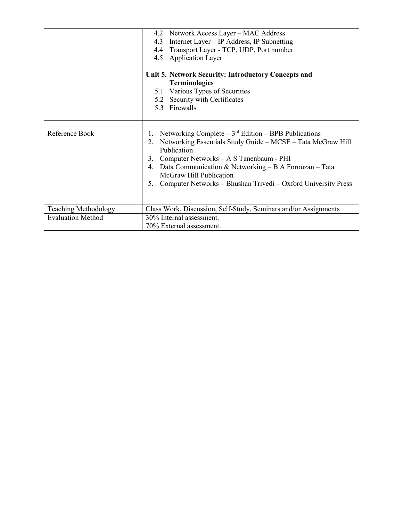|                             | 4.2 Network Access Layer - MAC Address<br>Internet Layer - IP Address, IP Subnetting<br>4.3                                                                       |
|-----------------------------|-------------------------------------------------------------------------------------------------------------------------------------------------------------------|
|                             | 4.4 Transport Layer - TCP, UDP, Port number                                                                                                                       |
|                             | 4.5 Application Layer                                                                                                                                             |
|                             | Unit 5. Network Security: Introductory Concepts and<br><b>Terminologies</b><br>5.1 Various Types of Securities<br>5.2 Security with Certificates<br>5.3 Firewalls |
|                             |                                                                                                                                                                   |
| Reference Book              | Networking Complete $-3^{rd}$ Edition $-$ BPB Publications<br>1.<br>2. Networking Essentials Study Guide - MCSE - Tata McGraw Hill<br>Publication                 |
|                             | Computer Networks – A S Tanenbaum - PHI<br>3.                                                                                                                     |
|                             | 4. Data Communication & Networking - B A Forouzan - Tata<br>McGraw Hill Publication                                                                               |
|                             | Computer Networks – Bhushan Trivedi – Oxford University Press<br>5.                                                                                               |
|                             |                                                                                                                                                                   |
| <b>Teaching Methodology</b> | Class Work, Discussion, Self-Study, Seminars and/or Assignments                                                                                                   |
| <b>Evaluation Method</b>    | 30% Internal assessment.                                                                                                                                          |
|                             | 70% External assessment.                                                                                                                                          |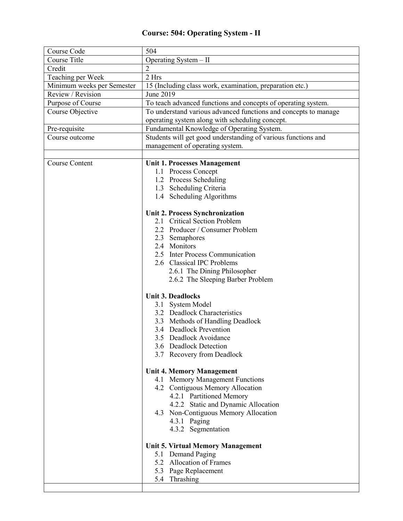## **Course: 504: Operating System - II**

| Course Code                | 504                                                             |  |  |
|----------------------------|-----------------------------------------------------------------|--|--|
| Course Title               | Operating System - II                                           |  |  |
| Credit                     | $\mathfrak{D}$                                                  |  |  |
| Teaching per Week          | 2 Hrs                                                           |  |  |
| Minimum weeks per Semester | 15 (Including class work, examination, preparation etc.)        |  |  |
| Review / Revision          | June 2019                                                       |  |  |
| Purpose of Course          | To teach advanced functions and concepts of operating system.   |  |  |
| Course Objective           | To understand various advanced functions and concepts to manage |  |  |
|                            | operating system along with scheduling concept.                 |  |  |
| Pre-requisite              | Fundamental Knowledge of Operating System.                      |  |  |
| Course outcome             | Students will get good understanding of various functions and   |  |  |
|                            | management of operating system.                                 |  |  |
|                            |                                                                 |  |  |
| <b>Course Content</b>      | <b>Unit 1. Processes Management</b>                             |  |  |
|                            | 1.1 Process Concept                                             |  |  |
|                            | 1.2 Process Scheduling                                          |  |  |
|                            | 1.3 Scheduling Criteria                                         |  |  |
|                            | 1.4 Scheduling Algorithms                                       |  |  |
|                            |                                                                 |  |  |
|                            | Unit 2. Process Synchronization<br>2.1 Critical Section Problem |  |  |
|                            |                                                                 |  |  |
|                            | 2.2 Producer / Consumer Problem<br>2.3 Semaphores               |  |  |
|                            | 2.4 Monitors                                                    |  |  |
|                            | 2.5 Inter Process Communication                                 |  |  |
|                            | 2.6 Classical IPC Problems                                      |  |  |
|                            | 2.6.1 The Dining Philosopher                                    |  |  |
|                            | 2.6.2 The Sleeping Barber Problem                               |  |  |
|                            |                                                                 |  |  |
|                            | <b>Unit 3. Deadlocks</b>                                        |  |  |
|                            | 3.1 System Model                                                |  |  |
|                            | 3.2 Deadlock Characteristics                                    |  |  |
|                            | 3.3 Methods of Handling Deadlock                                |  |  |
|                            | 3.4 Deadlock Prevention                                         |  |  |
|                            | 3.5 Deadlock Avoidance                                          |  |  |
|                            | 3.6 Deadlock Detection                                          |  |  |
|                            | 3.7 Recovery from Deadlock                                      |  |  |
|                            |                                                                 |  |  |
|                            | <b>Unit 4. Memory Management</b>                                |  |  |
|                            | 4.1 Memory Management Functions                                 |  |  |
|                            | 4.2 Contiguous Memory Allocation                                |  |  |
|                            | 4.2.1 Partitioned Memory                                        |  |  |
|                            | 4.2.2 Static and Dynamic Allocation                             |  |  |
|                            | 4.3 Non-Contiguous Memory Allocation                            |  |  |
|                            | 4.3.1 Paging                                                    |  |  |
|                            | 4.3.2 Segmentation                                              |  |  |
|                            | <b>Unit 5. Virtual Memory Management</b>                        |  |  |
|                            | 5.1 Demand Paging                                               |  |  |
|                            | 5.2 Allocation of Frames                                        |  |  |
|                            | 5.3 Page Replacement                                            |  |  |
|                            | 5.4 Thrashing                                                   |  |  |
|                            |                                                                 |  |  |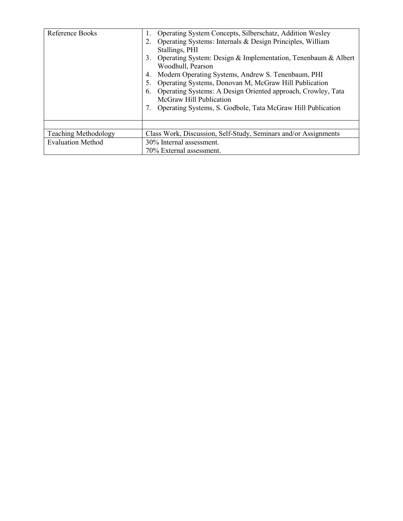| Reference Books             | Operating System Concepts, Silberschatz, Addition Wesley<br>Operating Systems: Internals & Design Principles, William<br>Stallings, PHI<br>Operating System: Design & Implementation, Tenenbaum & Albert<br>3.<br>Woodhull, Pearson<br>Modern Operating Systems, Andrew S. Tenenbaum, PHI<br>4.<br>Operating Systems, Donovan M, McGraw Hill Publication<br>Operating Systems: A Design Oriented approach, Crowley, Tata<br>6.<br>McGraw Hill Publication<br>Operating Systems, S. Godbole, Tata McGraw Hill Publication |  |
|-----------------------------|--------------------------------------------------------------------------------------------------------------------------------------------------------------------------------------------------------------------------------------------------------------------------------------------------------------------------------------------------------------------------------------------------------------------------------------------------------------------------------------------------------------------------|--|
|                             |                                                                                                                                                                                                                                                                                                                                                                                                                                                                                                                          |  |
| <b>Teaching Methodology</b> | Class Work, Discussion, Self-Study, Seminars and/or Assignments                                                                                                                                                                                                                                                                                                                                                                                                                                                          |  |
| <b>Evaluation Method</b>    | 30% Internal assessment.                                                                                                                                                                                                                                                                                                                                                                                                                                                                                                 |  |
|                             | 70% External assessment.                                                                                                                                                                                                                                                                                                                                                                                                                                                                                                 |  |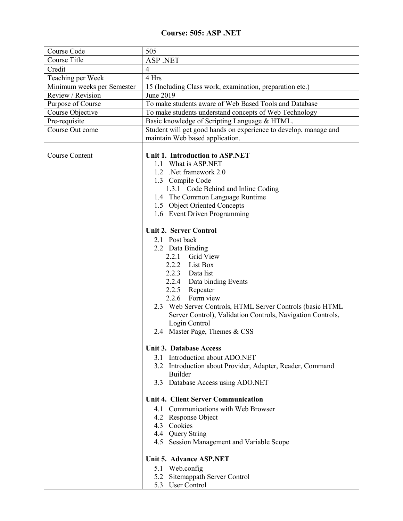#### **Course: 505: ASP .NET**

| Course Code                | 505                                                              |
|----------------------------|------------------------------------------------------------------|
| <b>Course Title</b>        | ASP .NET                                                         |
| Credit                     | $\overline{4}$                                                   |
| Teaching per Week          | 4 Hrs                                                            |
| Minimum weeks per Semester | 15 (Including Class work, examination, preparation etc.)         |
| Review / Revision          | June 2019                                                        |
| Purpose of Course          | To make students aware of Web Based Tools and Database           |
| Course Objective           | To make students understand concepts of Web Technology           |
| Pre-requisite              | Basic knowledge of Scripting Language & HTML.                    |
| Course Out come            | Student will get good hands on experience to develop, manage and |
|                            | maintain Web based application.                                  |
|                            |                                                                  |
| <b>Course Content</b>      | Unit 1. Introduction to ASP.NET                                  |
|                            | 1.1 What is ASP.NET                                              |
|                            | 1.2 .Net framework 2.0                                           |
|                            | 1.3 Compile Code                                                 |
|                            | 1.3.1 Code Behind and Inline Coding                              |
|                            | 1.4 The Common Language Runtime<br>1.5 Object Oriented Concepts  |
|                            | 1.6 Event Driven Programming                                     |
|                            |                                                                  |
|                            | <b>Unit 2. Server Control</b>                                    |
|                            | 2.1 Post back                                                    |
|                            | 2.2 Data Binding                                                 |
|                            | 2.2.1 Grid View                                                  |
|                            | 2.2.2 List Box                                                   |
|                            | 2.2.3 Data list                                                  |
|                            | 2.2.4 Data binding Events                                        |
|                            | 2.2.5 Repeater                                                   |
|                            | 2.2.6 Form view                                                  |
|                            | 2.3 Web Server Controls, HTML Server Controls (basic HTML        |
|                            | Server Control), Validation Controls, Navigation Controls,       |
|                            | Login Control                                                    |
|                            | 2.4 Master Page, Themes & CSS                                    |
|                            |                                                                  |
|                            | <b>Unit 3. Database Access</b>                                   |
|                            | 3.1 Introduction about ADO.NET                                   |
|                            | 3.2 Introduction about Provider, Adapter, Reader, Command        |
|                            | Builder                                                          |
|                            | 3.3 Database Access using ADO.NET                                |
|                            | <b>Unit 4. Client Server Communication</b>                       |
|                            | 4.1 Communications with Web Browser                              |
|                            | 4.2 Response Object                                              |
|                            | 4.3 Cookies                                                      |
|                            | 4.4 Query String                                                 |
|                            | 4.5 Session Management and Variable Scope                        |
|                            |                                                                  |
|                            | Unit 5. Advance ASP.NET                                          |
|                            | 5.1 Web.config                                                   |
|                            | 5.2 Sitemappath Server Control                                   |
|                            | 5.3 User Control                                                 |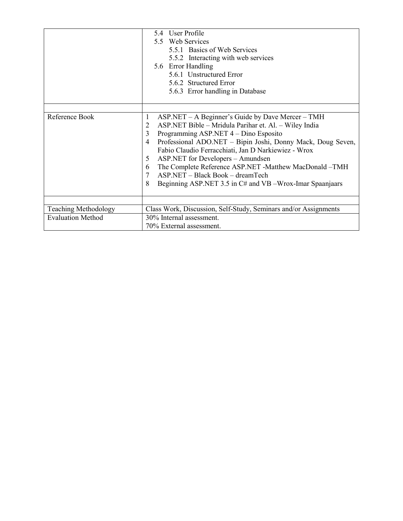|                                                  | 5.4 User Profile<br>5.5 Web Services<br>5.5.1 Basics of Web Services<br>5.5.2 Interacting with web services<br>5.6 Error Handling<br>5.6.1 Unstructured Error<br>5.6.2 Structured Error<br>5.6.3 Error handling in Database                                                                                                                                                                                                                                                                                        |
|--------------------------------------------------|--------------------------------------------------------------------------------------------------------------------------------------------------------------------------------------------------------------------------------------------------------------------------------------------------------------------------------------------------------------------------------------------------------------------------------------------------------------------------------------------------------------------|
| Reference Book                                   | $ASP.NET - A Beginner's Guide by Dave Mercer - TMH$<br>1<br>ASP.NET Bible - Mridula Parihar et. Al. - Wiley India<br>2<br>3<br>Programming ASP.NET 4 – Dino Esposito<br>Professional ADO.NET - Bipin Joshi, Donny Mack, Doug Seven,<br>4<br>Fabio Claudio Ferracchiati, Jan D Narkiewiez - Wrox<br>ASP.NET for Developers - Amundsen<br>5<br>The Complete Reference ASP.NET -Matthew MacDonald -TMH<br>6<br>ASP.NET - Black Book - dreamTech<br>7<br>Beginning ASP.NET 3.5 in C# and VB -Wrox-Imar Spaanjaars<br>8 |
| Teaching Methodology<br><b>Evaluation Method</b> | Class Work, Discussion, Self-Study, Seminars and/or Assignments<br>30% Internal assessment.<br>70% External assessment.                                                                                                                                                                                                                                                                                                                                                                                            |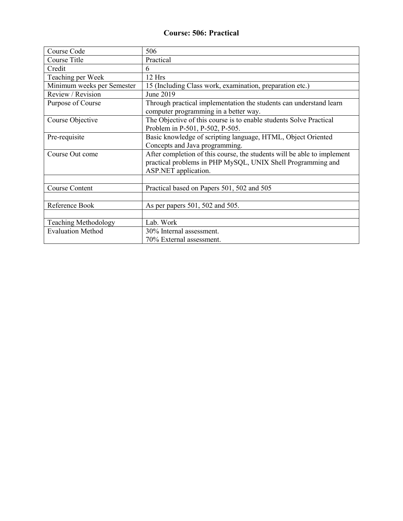#### **Course: 506: Practical**

| Course Code                 | 506                                                                                                                                                            |  |
|-----------------------------|----------------------------------------------------------------------------------------------------------------------------------------------------------------|--|
| Course Title                | Practical                                                                                                                                                      |  |
| Credit                      | 6                                                                                                                                                              |  |
| Teaching per Week           | 12 Hrs                                                                                                                                                         |  |
| Minimum weeks per Semester  | 15 (Including Class work, examination, preparation etc.)                                                                                                       |  |
| Review / Revision           | June 2019                                                                                                                                                      |  |
| Purpose of Course           | Through practical implementation the students can understand learn<br>computer programming in a better way.                                                    |  |
| Course Objective            | The Objective of this course is to enable students Solve Practical<br>Problem in P-501, P-502, P-505.                                                          |  |
| Pre-requisite               | Basic knowledge of scripting language, HTML, Object Oriented<br>Concepts and Java programming.                                                                 |  |
| Course Out come             | After completion of this course, the students will be able to implement<br>practical problems in PHP MySQL, UNIX Shell Programming and<br>ASP.NET application. |  |
|                             |                                                                                                                                                                |  |
| <b>Course Content</b>       | Practical based on Papers 501, 502 and 505                                                                                                                     |  |
|                             |                                                                                                                                                                |  |
| Reference Book              | As per papers 501, 502 and 505.                                                                                                                                |  |
|                             |                                                                                                                                                                |  |
| <b>Teaching Methodology</b> | Lab. Work                                                                                                                                                      |  |
| <b>Evaluation Method</b>    | 30% Internal assessment.                                                                                                                                       |  |
|                             | 70% External assessment.                                                                                                                                       |  |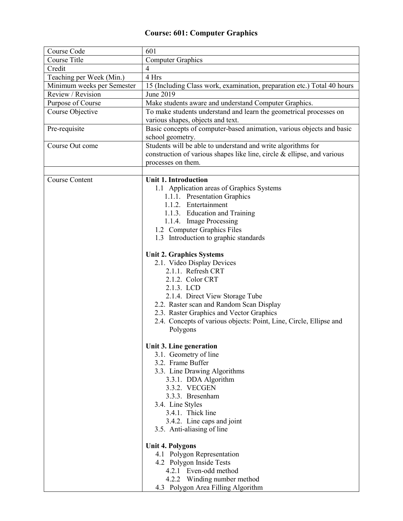#### **Course: 601: Computer Graphics**

| Course Code                | 601                                                                                                                                                           |  |
|----------------------------|---------------------------------------------------------------------------------------------------------------------------------------------------------------|--|
| <b>Course Title</b>        | <b>Computer Graphics</b>                                                                                                                                      |  |
| Credit                     | $\overline{4}$                                                                                                                                                |  |
| Teaching per Week (Min.)   | 4 Hrs                                                                                                                                                         |  |
| Minimum weeks per Semester | 15 (Including Class work, examination, preparation etc.) Total 40 hours                                                                                       |  |
| Review / Revision          | June 2019                                                                                                                                                     |  |
| Purpose of Course          | Make students aware and understand Computer Graphics.                                                                                                         |  |
| Course Objective           | To make students understand and learn the geometrical processes on<br>various shapes, objects and text.                                                       |  |
| Pre-requisite              | Basic concepts of computer-based animation, various objects and basic<br>school geometry.                                                                     |  |
| Course Out come            | Students will be able to understand and write algorithms for<br>construction of various shapes like line, circle & ellipse, and various<br>processes on them. |  |
| <b>Course Content</b>      | <b>Unit 1. Introduction</b>                                                                                                                                   |  |
|                            | 1.1 Application areas of Graphics Systems                                                                                                                     |  |
|                            | 1.1.1. Presentation Graphics                                                                                                                                  |  |
|                            | 1.1.2. Entertainment                                                                                                                                          |  |
|                            | 1.1.3. Education and Training                                                                                                                                 |  |
|                            | 1.1.4. Image Processing                                                                                                                                       |  |
|                            | 1.2 Computer Graphics Files                                                                                                                                   |  |
|                            | 1.3 Introduction to graphic standards                                                                                                                         |  |
|                            |                                                                                                                                                               |  |
|                            | <b>Unit 2. Graphics Systems</b><br>2.1. Video Display Devices<br>2.1.1. Refresh CRT                                                                           |  |
|                            | 2.1.2. Color CRT                                                                                                                                              |  |
|                            | 2.1.3. LCD                                                                                                                                                    |  |
|                            | 2.1.4. Direct View Storage Tube                                                                                                                               |  |
|                            | 2.2. Raster scan and Random Scan Display                                                                                                                      |  |
|                            | 2.3. Raster Graphics and Vector Graphics                                                                                                                      |  |
|                            | 2.4. Concepts of various objects: Point, Line, Circle, Ellipse and                                                                                            |  |
|                            | Polygons                                                                                                                                                      |  |
|                            | Unit 3. Line generation                                                                                                                                       |  |
|                            | 3.1. Geometry of line                                                                                                                                         |  |
|                            | 3.2. Frame Buffer                                                                                                                                             |  |
|                            | 3.3. Line Drawing Algorithms                                                                                                                                  |  |
|                            | 3.3.1. DDA Algorithm                                                                                                                                          |  |
|                            | 3.3.2. VECGEN<br>3.3.3. Bresenham                                                                                                                             |  |
|                            | 3.4. Line Styles                                                                                                                                              |  |
|                            | 3.4.1. Thick line                                                                                                                                             |  |
|                            | 3.4.2. Line caps and joint                                                                                                                                    |  |
|                            | 3.5. Anti-aliasing of line                                                                                                                                    |  |
|                            | <b>Unit 4. Polygons</b>                                                                                                                                       |  |
|                            | 4.1 Polygon Representation                                                                                                                                    |  |
|                            | 4.2 Polygon Inside Tests                                                                                                                                      |  |
|                            | 4.2.1 Even-odd method                                                                                                                                         |  |
|                            | 4.2.2 Winding number method                                                                                                                                   |  |
|                            | 4.3 Polygon Area Filling Algorithm                                                                                                                            |  |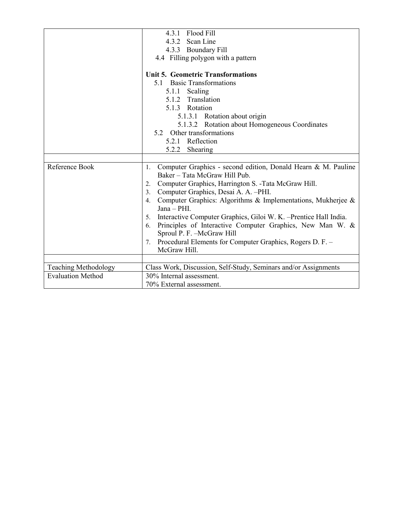|                          | 4.3.1 Flood Fill                                                     |  |  |
|--------------------------|----------------------------------------------------------------------|--|--|
|                          | 4.3.2 Scan Line                                                      |  |  |
|                          | 4.3.3 Boundary Fill                                                  |  |  |
|                          | 4.4 Filling polygon with a pattern                                   |  |  |
|                          |                                                                      |  |  |
|                          | <b>Unit 5. Geometric Transformations</b>                             |  |  |
|                          | 5.1 Basic Transformations                                            |  |  |
|                          | 5.1.1 Scaling                                                        |  |  |
|                          | 5.1.2 Translation                                                    |  |  |
|                          | 5.1.3 Rotation                                                       |  |  |
|                          | 5.1.3.1 Rotation about origin                                        |  |  |
|                          | 5.1.3.2 Rotation about Homogeneous Coordinates                       |  |  |
|                          | 5.2 Other transformations                                            |  |  |
|                          | 5.2.1 Reflection                                                     |  |  |
|                          | 5.2.2 Shearing                                                       |  |  |
|                          |                                                                      |  |  |
| Reference Book           | Computer Graphics - second edition, Donald Hearn & M. Pauline<br>1.  |  |  |
|                          | Baker - Tata McGraw Hill Pub.                                        |  |  |
|                          | Computer Graphics, Harrington S. - Tata McGraw Hill.<br>2.           |  |  |
|                          | Computer Graphics, Desai A. A. -PHI.<br>3.                           |  |  |
|                          | Computer Graphics: Algorithms & Implementations, Mukherjee &<br>4.   |  |  |
|                          | Jana - PHI.                                                          |  |  |
|                          | 5. Interactive Computer Graphics, Giloi W. K. - Prentice Hall India. |  |  |
|                          | Principles of Interactive Computer Graphics, New Man W. &<br>6.      |  |  |
|                          | Sproul P. F. - McGraw Hill                                           |  |  |
|                          | Procedural Elements for Computer Graphics, Rogers D. F. -<br>7.      |  |  |
|                          | McGraw Hill.                                                         |  |  |
|                          |                                                                      |  |  |
| Teaching Methodology     | Class Work, Discussion, Self-Study, Seminars and/or Assignments      |  |  |
| <b>Evaluation Method</b> | 30% Internal assessment.                                             |  |  |
|                          | 70% External assessment.                                             |  |  |
|                          |                                                                      |  |  |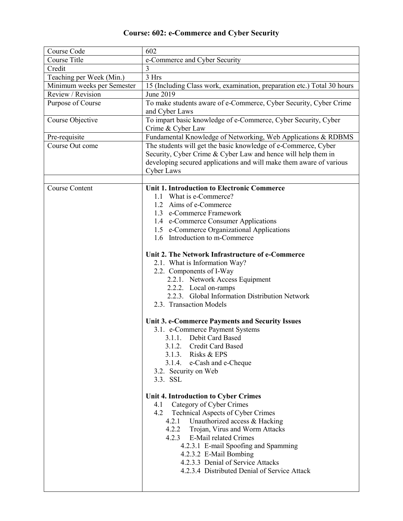## **Course: 602: e-Commerce and Cyber Security**

| Course Code                | 602                                                                                                                                                                                                                                                                                                                                                                                                                                                                                                                                                                                                                |  |  |
|----------------------------|--------------------------------------------------------------------------------------------------------------------------------------------------------------------------------------------------------------------------------------------------------------------------------------------------------------------------------------------------------------------------------------------------------------------------------------------------------------------------------------------------------------------------------------------------------------------------------------------------------------------|--|--|
| Course Title               | e-Commerce and Cyber Security                                                                                                                                                                                                                                                                                                                                                                                                                                                                                                                                                                                      |  |  |
| Credit                     | 3                                                                                                                                                                                                                                                                                                                                                                                                                                                                                                                                                                                                                  |  |  |
| Teaching per Week (Min.)   | 3 Hrs                                                                                                                                                                                                                                                                                                                                                                                                                                                                                                                                                                                                              |  |  |
| Minimum weeks per Semester | 15 (Including Class work, examination, preparation etc.) Total 30 hours                                                                                                                                                                                                                                                                                                                                                                                                                                                                                                                                            |  |  |
| Review / Revision          | June 2019                                                                                                                                                                                                                                                                                                                                                                                                                                                                                                                                                                                                          |  |  |
| Purpose of Course          | To make students aware of e-Commerce, Cyber Security, Cyber Crime<br>and Cyber Laws                                                                                                                                                                                                                                                                                                                                                                                                                                                                                                                                |  |  |
| Course Objective           | To impart basic knowledge of e-Commerce, Cyber Security, Cyber<br>Crime & Cyber Law                                                                                                                                                                                                                                                                                                                                                                                                                                                                                                                                |  |  |
| Pre-requisite              | Fundamental Knowledge of Networking, Web Applications & RDBMS                                                                                                                                                                                                                                                                                                                                                                                                                                                                                                                                                      |  |  |
| Course Out come            | The students will get the basic knowledge of e-Commerce, Cyber<br>Security, Cyber Crime & Cyber Law and hence will help them in<br>developing secured applications and will make them aware of various<br>Cyber Laws                                                                                                                                                                                                                                                                                                                                                                                               |  |  |
| <b>Course Content</b>      | <b>Unit 1. Introduction to Electronic Commerce</b>                                                                                                                                                                                                                                                                                                                                                                                                                                                                                                                                                                 |  |  |
|                            | 1.1 What is e-Commerce?                                                                                                                                                                                                                                                                                                                                                                                                                                                                                                                                                                                            |  |  |
|                            | 1.2 Aims of e-Commerce                                                                                                                                                                                                                                                                                                                                                                                                                                                                                                                                                                                             |  |  |
|                            | 1.3 e-Commerce Framework                                                                                                                                                                                                                                                                                                                                                                                                                                                                                                                                                                                           |  |  |
|                            | 1.4 e-Commerce Consumer Applications                                                                                                                                                                                                                                                                                                                                                                                                                                                                                                                                                                               |  |  |
|                            | 1.5 e-Commerce Organizational Applications                                                                                                                                                                                                                                                                                                                                                                                                                                                                                                                                                                         |  |  |
|                            | 1.6 Introduction to m-Commerce                                                                                                                                                                                                                                                                                                                                                                                                                                                                                                                                                                                     |  |  |
|                            | Unit 2. The Network Infrastructure of e-Commerce<br>2.1. What is Information Way?<br>2.2. Components of I-Way<br>2.2.1. Network Access Equipment<br>2.2.2. Local on-ramps<br>2.2.3. Global Information Distribution Network<br>2.3. Transaction Models<br>Unit 3. e-Commerce Payments and Security Issues<br>3.1. e-Commerce Payment Systems<br>3.1.1. Debit Card Based<br>3.1.2. Credit Card Based<br>3.1.3. Risks & EPS<br>3.1.4. e-Cash and e-Cheque<br>3.2. Security on Web<br>3.3. SSL<br>Unit 4. Introduction to Cyber Crimes<br>Category of Cyber Crimes<br>4.1<br>4.2<br>Technical Aspects of Cyber Crimes |  |  |
|                            | 4.2.1<br>Unauthorized access & Hacking<br>4.2.2 Trojan, Virus and Worm Attacks<br>4.2.3 E-Mail related Crimes<br>4.2.3.1 E-mail Spoofing and Spamming<br>4.2.3.2 E-Mail Bombing<br>4.2.3.3 Denial of Service Attacks<br>4.2.3.4 Distributed Denial of Service Attack                                                                                                                                                                                                                                                                                                                                               |  |  |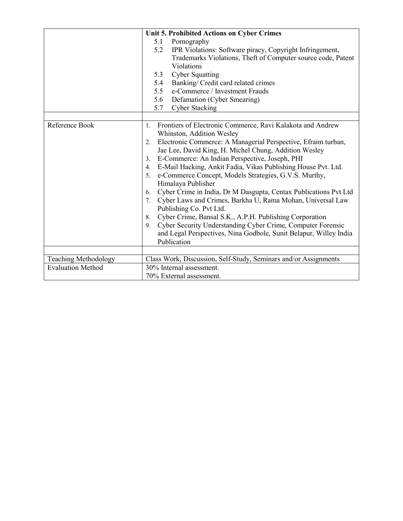|                          | Unit 5. Prohibited Actions on Cyber Crimes                                                                                                                                                                                                                                                                                                                                                                                                                                                                                                                                                                                                                                                                                                                                                                                                                                         |  |
|--------------------------|------------------------------------------------------------------------------------------------------------------------------------------------------------------------------------------------------------------------------------------------------------------------------------------------------------------------------------------------------------------------------------------------------------------------------------------------------------------------------------------------------------------------------------------------------------------------------------------------------------------------------------------------------------------------------------------------------------------------------------------------------------------------------------------------------------------------------------------------------------------------------------|--|
|                          | Pornography<br>5.1                                                                                                                                                                                                                                                                                                                                                                                                                                                                                                                                                                                                                                                                                                                                                                                                                                                                 |  |
|                          | 5.2<br>IPR Violations: Software piracy, Copyright Infringement,                                                                                                                                                                                                                                                                                                                                                                                                                                                                                                                                                                                                                                                                                                                                                                                                                    |  |
|                          | Trademarks Violations, Theft of Computer source code, Patent                                                                                                                                                                                                                                                                                                                                                                                                                                                                                                                                                                                                                                                                                                                                                                                                                       |  |
|                          | Violations                                                                                                                                                                                                                                                                                                                                                                                                                                                                                                                                                                                                                                                                                                                                                                                                                                                                         |  |
|                          | 5.3<br><b>Cyber Squatting</b>                                                                                                                                                                                                                                                                                                                                                                                                                                                                                                                                                                                                                                                                                                                                                                                                                                                      |  |
|                          | Banking/ Credit card related crimes<br>5.4                                                                                                                                                                                                                                                                                                                                                                                                                                                                                                                                                                                                                                                                                                                                                                                                                                         |  |
|                          | e-Commerce / Investment Frauds<br>5.5                                                                                                                                                                                                                                                                                                                                                                                                                                                                                                                                                                                                                                                                                                                                                                                                                                              |  |
|                          | 5.6<br>Defamation (Cyber Smearing)                                                                                                                                                                                                                                                                                                                                                                                                                                                                                                                                                                                                                                                                                                                                                                                                                                                 |  |
|                          | 5.7<br><b>Cyber Stacking</b>                                                                                                                                                                                                                                                                                                                                                                                                                                                                                                                                                                                                                                                                                                                                                                                                                                                       |  |
|                          |                                                                                                                                                                                                                                                                                                                                                                                                                                                                                                                                                                                                                                                                                                                                                                                                                                                                                    |  |
| Reference Book           | Frontiers of Electronic Commerce, Ravi Kalakota and Andrew<br>1.<br>Whinston, Addition Wesley<br>Electronic Commerce: A Managerial Perspective, Efraim turban,<br>2.<br>Jae Lee, David King, H. Michel Chung, Addition Wesley<br>E-Commerce: An Indian Perspective, Joseph, PHI<br>3.<br>E-Mail Hacking, Ankit Fadia, Vikas Publishing House Pvt. Ltd.<br>4.<br>e-Commerce Concept, Models Strategies, G.V.S. Murthy,<br>5.<br>Himalaya Publisher<br>Cyber Crime in India, Dr M Dasgupta, Centax Publications Pvt Ltd<br>6.<br>Cyber Laws and Crimes, Barkha U, Rama Mohan, Universal Law<br>$7_{\scriptscriptstyle{\ddots}}$<br>Publishing Co. Pvt Ltd.<br>Cyber Crime, Bansal S.K., A.P.H. Publishing Corporation<br>8.<br>Cyber Security Understanding Cyber Crime, Computer Forensic<br>9.<br>and Legal Perspectives, Nina Godbole, Sunit Belapur, Willey India<br>Publication |  |
| Teaching Methodology     | Class Work, Discussion, Self-Study, Seminars and/or Assignments                                                                                                                                                                                                                                                                                                                                                                                                                                                                                                                                                                                                                                                                                                                                                                                                                    |  |
| <b>Evaluation Method</b> | 30% Internal assessment.                                                                                                                                                                                                                                                                                                                                                                                                                                                                                                                                                                                                                                                                                                                                                                                                                                                           |  |
|                          | 70% External assessment.                                                                                                                                                                                                                                                                                                                                                                                                                                                                                                                                                                                                                                                                                                                                                                                                                                                           |  |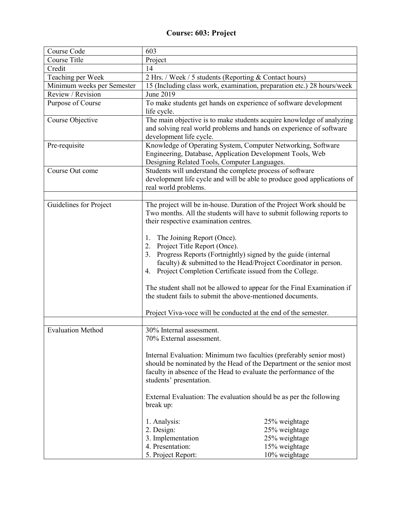## **Course: 603: Project**

| Course Code                | 603                                                                                                                                                                                                                                                                                                                            |                                                                                   |  |
|----------------------------|--------------------------------------------------------------------------------------------------------------------------------------------------------------------------------------------------------------------------------------------------------------------------------------------------------------------------------|-----------------------------------------------------------------------------------|--|
| Course Title               | Project                                                                                                                                                                                                                                                                                                                        |                                                                                   |  |
| Credit                     | 14                                                                                                                                                                                                                                                                                                                             |                                                                                   |  |
| Teaching per Week          | 2 Hrs. / Week / 5 students (Reporting & Contact hours)                                                                                                                                                                                                                                                                         |                                                                                   |  |
| Minimum weeks per Semester | 15 (Including class work, examination, preparation etc.) 28 hours/week                                                                                                                                                                                                                                                         |                                                                                   |  |
| Review / Revision          | June 2019                                                                                                                                                                                                                                                                                                                      |                                                                                   |  |
| Purpose of Course          | To make students get hands on experience of software development<br>life cycle.                                                                                                                                                                                                                                                |                                                                                   |  |
| Course Objective           | The main objective is to make students acquire knowledge of analyzing<br>and solving real world problems and hands on experience of software<br>development life cycle.                                                                                                                                                        |                                                                                   |  |
| Pre-requisite              | Knowledge of Operating System, Computer Networking, Software<br>Engineering, Database, Application Development Tools, Web<br>Designing Related Tools, Computer Languages.                                                                                                                                                      |                                                                                   |  |
| Course Out come            | Students will understand the complete process of software<br>development life cycle and will be able to produce good applications of<br>real world problems.                                                                                                                                                                   |                                                                                   |  |
|                            |                                                                                                                                                                                                                                                                                                                                |                                                                                   |  |
| Guidelines for Project     | The project will be in-house. Duration of the Project Work should be<br>Two months. All the students will have to submit following reports to<br>their respective examination centres.                                                                                                                                         |                                                                                   |  |
|                            | The Joining Report (Once).<br>1.<br>Project Title Report (Once).<br>2.<br>Progress Reports (Fortnightly) signed by the guide (internal<br>3.<br>faculty) & submitted to the Head/Project Coordinator in person.<br>Project Completion Certificate issued from the College.<br>4.                                               |                                                                                   |  |
|                            | The student shall not be allowed to appear for the Final Examination if<br>the student fails to submit the above-mentioned documents.                                                                                                                                                                                          |                                                                                   |  |
|                            | Project Viva-voce will be conducted at the end of the semester.                                                                                                                                                                                                                                                                |                                                                                   |  |
| Evaluation Method          | 30% Internal assessment.<br>70% External assessment.                                                                                                                                                                                                                                                                           |                                                                                   |  |
|                            | Internal Evaluation: Minimum two faculties (preferably senior most)<br>should be nominated by the Head of the Department or the senior most<br>faculty in absence of the Head to evaluate the performance of the<br>students' presentation.<br>External Evaluation: The evaluation should be as per the following<br>break up: |                                                                                   |  |
|                            |                                                                                                                                                                                                                                                                                                                                |                                                                                   |  |
|                            | 1. Analysis:<br>2. Design:<br>3. Implementation<br>4. Presentation:<br>5. Project Report:                                                                                                                                                                                                                                      | 25% weightage<br>25% weightage<br>25% weightage<br>15% weightage<br>10% weightage |  |